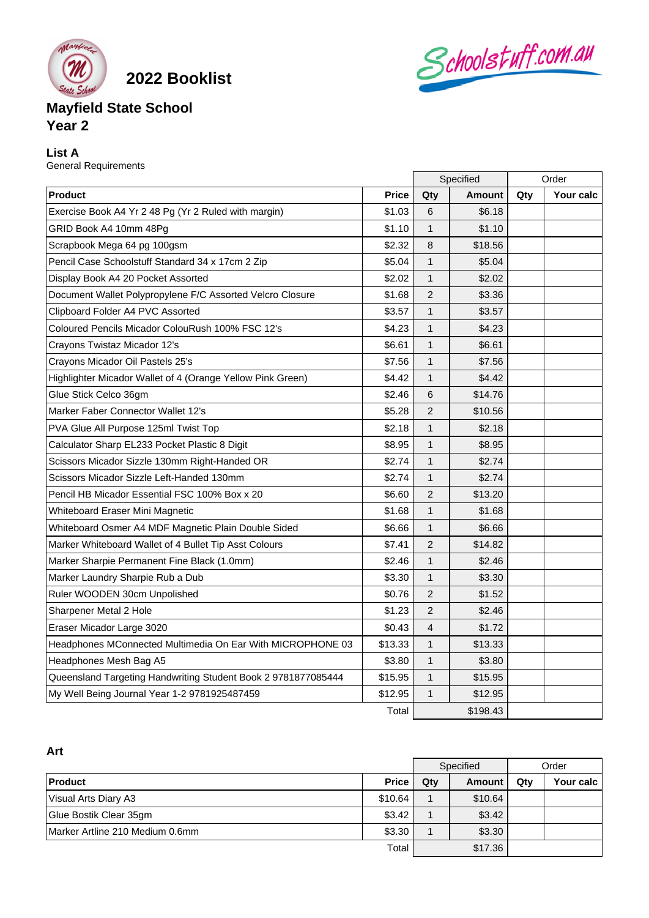

**2022 Booklist**

# Schoolstuff.com.au

## **Mayfield State School Year 2**

### **List A**

General Requirements

|                                                               |              | Specified      |               | Order |           |
|---------------------------------------------------------------|--------------|----------------|---------------|-------|-----------|
| <b>Product</b>                                                | <b>Price</b> | Qty            | <b>Amount</b> | Qty   | Your calc |
| Exercise Book A4 Yr 2 48 Pg (Yr 2 Ruled with margin)          | \$1.03       | 6              | \$6.18        |       |           |
| GRID Book A4 10mm 48Pg                                        | \$1.10       | $\mathbf{1}$   | \$1.10        |       |           |
| Scrapbook Mega 64 pg 100gsm                                   | \$2.32       | 8              | \$18.56       |       |           |
| Pencil Case Schoolstuff Standard 34 x 17cm 2 Zip              | \$5.04       | $\mathbf{1}$   | \$5.04        |       |           |
| Display Book A4 20 Pocket Assorted                            | \$2.02       | $\mathbf{1}$   | \$2.02        |       |           |
| Document Wallet Polypropylene F/C Assorted Velcro Closure     | \$1.68       | $\overline{2}$ | \$3.36        |       |           |
| Clipboard Folder A4 PVC Assorted                              | \$3.57       | $\mathbf{1}$   | \$3.57        |       |           |
| Coloured Pencils Micador ColouRush 100% FSC 12's              | \$4.23       | $\mathbf{1}$   | \$4.23        |       |           |
| Crayons Twistaz Micador 12's                                  | \$6.61       | 1              | \$6.61        |       |           |
| Crayons Micador Oil Pastels 25's                              | \$7.56       | $\mathbf{1}$   | \$7.56        |       |           |
| Highlighter Micador Wallet of 4 (Orange Yellow Pink Green)    | \$4.42       | $\mathbf{1}$   | \$4.42        |       |           |
| Glue Stick Celco 36gm                                         | \$2.46       | 6              | \$14.76       |       |           |
| Marker Faber Connector Wallet 12's                            | \$5.28       | $\overline{2}$ | \$10.56       |       |           |
| PVA Glue All Purpose 125ml Twist Top                          | \$2.18       | $\mathbf{1}$   | \$2.18        |       |           |
| Calculator Sharp EL233 Pocket Plastic 8 Digit                 | \$8.95       | 1              | \$8.95        |       |           |
| Scissors Micador Sizzle 130mm Right-Handed OR                 | \$2.74       | $\mathbf{1}$   | \$2.74        |       |           |
| Scissors Micador Sizzle Left-Handed 130mm                     | \$2.74       | $\mathbf{1}$   | \$2.74        |       |           |
| Pencil HB Micador Essential FSC 100% Box x 20                 | \$6.60       | $\overline{2}$ | \$13.20       |       |           |
| Whiteboard Eraser Mini Magnetic                               | \$1.68       | 1              | \$1.68        |       |           |
| Whiteboard Osmer A4 MDF Magnetic Plain Double Sided           | \$6.66       | 1              | \$6.66        |       |           |
| Marker Whiteboard Wallet of 4 Bullet Tip Asst Colours         | \$7.41       | $\overline{2}$ | \$14.82       |       |           |
| Marker Sharpie Permanent Fine Black (1.0mm)                   | \$2.46       | $\mathbf{1}$   | \$2.46        |       |           |
| Marker Laundry Sharpie Rub a Dub                              | \$3.30       | 1              | \$3.30        |       |           |
| Ruler WOODEN 30cm Unpolished                                  | \$0.76       | 2              | \$1.52        |       |           |
| Sharpener Metal 2 Hole                                        | \$1.23       | $\overline{2}$ | \$2.46        |       |           |
| Eraser Micador Large 3020                                     | \$0.43       | 4              | \$1.72        |       |           |
| Headphones MConnected Multimedia On Ear With MICROPHONE 03    | \$13.33      | 1              | \$13.33       |       |           |
| Headphones Mesh Bag A5                                        | \$3.80       | $\mathbf{1}$   | \$3.80        |       |           |
| Queensland Targeting Handwriting Student Book 2 9781877085444 | \$15.95      | $\mathbf{1}$   | \$15.95       |       |           |
| My Well Being Journal Year 1-2 9781925487459                  | \$12.95      | $\mathbf{1}$   | \$12.95       |       |           |
|                                                               | Total        | \$198.43       |               |       |           |

| Art                             |              |           |         |       |           |  |
|---------------------------------|--------------|-----------|---------|-------|-----------|--|
|                                 |              | Specified |         | Order |           |  |
| Product                         | <b>Price</b> | $Q$ ty    | Amount  | Qty   | Your calc |  |
| Visual Arts Diary A3            | \$10.64      |           | \$10.64 |       |           |  |
| Glue Bostik Clear 35gm          | \$3.42       |           | \$3.42  |       |           |  |
| Marker Artline 210 Medium 0.6mm | \$3.30       |           | \$3.30  |       |           |  |
|                                 | Total        |           | \$17.36 |       |           |  |